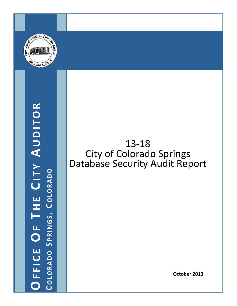

# **OFFICE O F T H E C ITY A UDITOR COLORADO** COLORADO SPRINGS, COLORADO **PRINGS , C OLORADO**

# 13‐18 City of Colorado Springs Database Security Audit Report

**October 2013**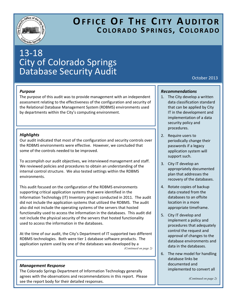

# **OFFICE OF T H E C ITY A UDITOR COLORADO S PRINGS , C OLORADO**

# 13‐18 City of Colorado Springs Database Security Audit

#### *Purpose*

The purpose of this audit was to provide management with an independent assessment relating to the effectiveness of the configuration and security of the Relational Database Management System (RDBMS) environments used by departments within the City's computing environment.

#### *Highlights*

Our audit indicated that most of the configuration and security controls over the RDBMS environments were effective. However, we concluded that some of the controls needed to be improved.

To accomplish our audit objectives, we interviewed management and staff. We reviewed policies and procedures to obtain an understanding of the internal control structure. We also tested settings within the RDBMS environments.

This audit focused on the configuration of the RDBMS environments supporting critical application systems that were identified in the Information Technology (IT) Inventory project conducted in 2011. The audit did not include the application systems that utilized the RDBMS. The audit also did not include the operating systems of the servers that hosted functionality used to access the information in the databases. This audit did not include the physical security of the servers that hosted functionality used to access the information in the databases.

At the time of our audit, the City's Department of IT supported two different RDBMS technologies. Both were tier 1 database software products. The application system used by one of the databases was developed by a *(Continued on page 2)* 

#### *Management Response*

The Colorado Springs Department of Information Technology generally agrees with the observations and recommendations in this report. Please see the report body for their detailed responses.

October 2013

#### *Recommendations*

- 1. The City develop a written data classification standard that can be applied by City IT in the development and implementation of a data security policy and procedures.
- 2. Require users to periodically change their passwords if a legacy application system will support such.
- 3. City IT develop an appropriately documented plan that addresses the recovery of the databases.
- 4. Rotate copies of backup data created from the databases to an offsite location in a more appropriate timeframe.
- 5. City IT develop and implement a policy and procedures that adequately control the request and approval of changes to the database environments and data in the databases.
- 6. The new model for handling database links be documented and implemented to convert all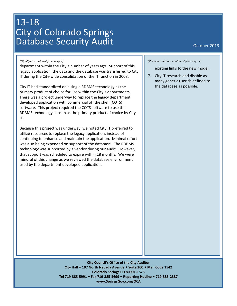# 13‐18 City of Colorado Springs Database Security Audit **Database Security Audit**

#### *(Highlights continued from page 1)*

department within the City a number of years ago. Support of this legacy application, the data and the database was transferred to City IT during the City‐wide consolidation of the IT function in 2008.

City IT had standardized on a single RDBMS technology as the primary product of choice for use within the City's departments. There was a project underway to replace the legacy department developed application with commercial off the shelf (COTS) software. This project required the COTS software to use the RDBMS technology chosen as the primary product of choice by City IT.

Because this project was underway, we noted City IT preferred to utilize resources to replace the legacy application, instead of continuing to enhance and maintain the application. Minimal effort was also being expended on support of the database. The RDBMS technology was supported by a vendor during our audit. However, that support was scheduled to expire within 18 months. We were mindful of this change as we reviewed the database environment used by the department developed application.

*(Recommendations continued from page 1)* 

existing links to the new model.

7. City IT research and disable as many generic userids defined to the database as possible.

**City Council's Office of the City Auditor City Hall 107 North Nevada Avenue Suite 200 Mail Code 1542 Colorado Springs CO 80901‐1575 Tel 719‐385‐5991 Fax 719‐385‐5699 Reporting Hotline 719‐385‐2387 www.SpringsGov.com/OCA**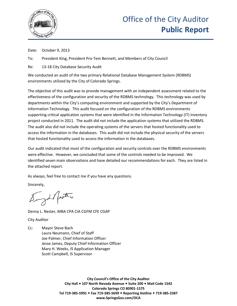

Date: October 9, 2013

To: President King, President Pro-Tem Bennett, and Members of City Council

Re: 13-18 City Database Security Audit

We conducted an audit of the two primary Relational Database Management System (RDBMS) environments utilized by the City of Colorado Springs.

The objective of this audit was to provide management with an independent assessment related to the effectiveness of the configuration and security of the RDBMS technology. This technology was used by departments within the City's computing environment and supported by the City's Department of Information Technology. This audit focused on the configuration of the RDBMS environments supporting critical application systems that were identified in the Information Technology (IT) Inventory project conducted in 2011. The audit did not include the application systems that utilized the RDBMS. The audit also did not include the operating systems of the servers that hosted functionality used to access the information in the databases. This audit did not include the physical security of the servers that hosted functionality used to access the information in the databases.

Our audit indicated that most of the configuration and security controls over the RDBMS environments were effective. However, we concluded that some of the controls needed to be improved. We identified seven main observations and have detailed our recommendations for each. They are listed in the attached report.

As always, feel free to contact me if you have any questions.

Sincerely,

Singt Pertire

Denny L. Nester, MBA CPA CIA CGFM CFE CGAP

City Auditor

Cc: Mayor Steve Bach Laura Neumann, Chief of Staff Joe Palmer, Chief Information Officer Jesse James, Deputy Chief Information Officer Mary H. Weeks, IS Application Manager Scott Campbell, IS Supervisor

> **City Council's Office of the City Auditor City Hall 107 North Nevada Avenue Suite 200 Mail Code 1542 Colorado Springs CO 80901-1575 Tel 719-385-5991 Fax 719-385-5699 Reporting Hotline 719-385-2387 www.SpringsGov.com/OCA**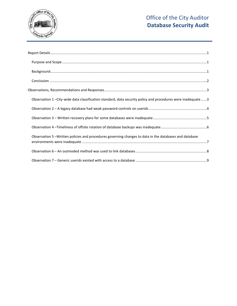

| ${\sf Background} \, {\sf 1} \, {\sf 1}$                                                                   |  |
|------------------------------------------------------------------------------------------------------------|--|
|                                                                                                            |  |
|                                                                                                            |  |
| Observation 1-City-wide data classification standard, data security policy and procedures were inadequate3 |  |
|                                                                                                            |  |
|                                                                                                            |  |
|                                                                                                            |  |
| Observation 5-Written policies and procedures governing changes to data in the databases and database      |  |
|                                                                                                            |  |
|                                                                                                            |  |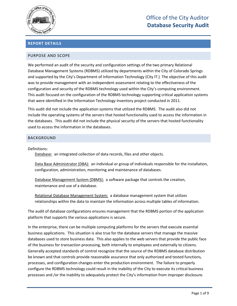

#### <span id="page-5-0"></span>**REPORT DETAILS**

#### <span id="page-5-1"></span>PURPOSE AND SCOPE

We performed an audit of the security and configuration settings of the two primary Relational Database Management Systems (RDBMS) utilized by departments within the City of Colorado Springs and supported by the City's Department of Information Technology (City IT.) The objective of this audit was to provide management with an independent assessment relating to the effectiveness of the configuration and security of the RDBMS technology used within the City's computing environment. This audit focused on the configuration of the RDBMS technology supporting critical application systems that were identified in the Information Technology Inventory project conducted in 2011.

This audit did not include the application systems that utilized the RDBMS. The audit also did not include the operating systems of the servers that hosted functionality used to access the information in the databases. This audit did not include the physical security of the servers that hosted functionality used to access the information in the databases.

#### <span id="page-5-2"></span>BACKGROUND

Definitions:

Database: an integrated collection of data records, files and other objects.

Data Base Administrator (DBA): an individual or group of individuals responsible for the installation, configuration, administration, monitoring and maintenance of databases.

Database Management System (DBMS): a software package that controls the creation, maintenance and use of a database.

Relational Database Management System: a database management system that utilizes relationships within the data to maintain the information across multiple tables of information.

The audit of database configurations ensures management that the RDBMS portion of the application platform that supports the various applications is secure.

In the enterprise, there can be multiple computing platforms for the servers that execute essential business applications. This situation is also true for the database servers that manage the massive databases used to store business data. This also applies to the web servers that provide the public face of the business for transaction processing, both internally to employees and externally to citizens. Generally accepted standards of control recognize that the source of the RDBMS database distribution be known and that controls provide reasonable assurance that only authorized and tested functions, processes, and configuration changes enter the production environment. The failure to properly configure the RDBMS technology could result in the inability of the City to execute its critical business processes and /or the inability to adequately protect the City's information from improper disclosure.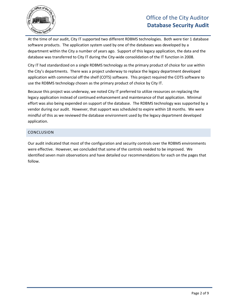

At the time of our audit, City IT supported two different RDBMS technologies. Both were tier 1 database software products. The application system used by one of the databases was developed by a department within the City a number of years ago. Support of this legacy application, the data and the database was transferred to City IT during the City-wide consolidation of the IT function in 2008.

City IT had standardized on a single RDBMS technology as the primary product of choice for use within the City's departments. There was a project underway to replace the legacy department developed application with commercial off the shelf (COTS) software. This project required the COTS software to use the RDBMS technology chosen as the primary product of choice by City IT.

Because this project was underway, we noted City IT preferred to utilize resources on replacing the legacy application instead of continued enhancement and maintenance of that application. Minimal effort was also being expended on support of the database. The RDBMS technology was supported by a vendor during our audit. However, that support was scheduled to expire within 18 months. We were mindful of this as we reviewed the database environment used by the legacy department developed application.

#### <span id="page-6-0"></span>**CONCLUSION**

Our audit indicated that most of the configuration and security controls over the RDBMS environments were effective. However, we concluded that some of the controls needed to be improved. We identified seven main observations and have detailed our recommendations for each on the pages that follow.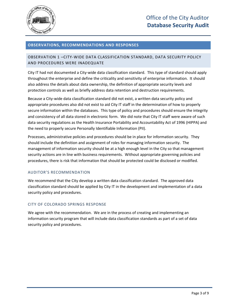

#### <span id="page-7-0"></span>**OBSERVATIONS, RECOMMENDATIONS AND RESPONSES**

#### <span id="page-7-1"></span>OBSERVATION 1 –CITY-WIDE DATA CLASSIFICATION STANDARD, DATA SECURITY POLICY AND PROCEDURES WERE INADEQUATE

City IT had not documented a City-wide data classification standard. This type of standard should apply throughout the enterprise and define the criticality and sensitivity of enterprise information. It should also address the details about data ownership, the definition of appropriate security levels and protection controls as well as briefly address data retention and destruction requirements.

Because a City-wide data classification standard did not exist, a written data security policy and appropriate procedures also did not exist to aid City IT staff in the determination of how to properly secure information within the databases. This type of policy and procedures should ensure the integrity and consistency of all data stored in electronic form. We did note that City IT staff were aware of such data security regulations as the Health Insurance Portability and Accountability Act of 1996 (HIPPA) and the need to properly secure Personally Identifiable Information (PII).

Processes, administrative policies and procedures should be in place for information security. They should include the definition and assignment of roles for managing information security. The management of information security should be at a high enough level in the City so that management security actions are in line with business requirements. Without appropriate governing policies and procedures, there is risk that information that should be protected could be disclosed or modified.

#### AUDITOR'S RECOMMENDATION

We recommend that the City develop a written data classification standard. The approved data classification standard should be applied by City IT in the development and implementation of a data security policy and procedures.

#### CITY OF COLORADO SPRINGS RESPONSE

We agree with the recommendation. We are in the process of creating and implementing an information security program that will include data classification standards as part of a set of data security policy and procedures.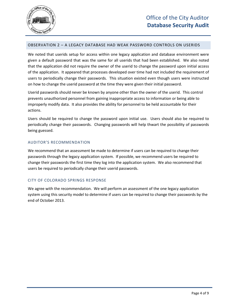

#### <span id="page-8-0"></span>OBSERVATION 2 – A LEGACY DATABASE HAD WEAK PASSWORD CONTROLS ON USERIDS

We noted that userids setup for access within one legacy application and database environment were given a default password that was the same for all userids that had been established. We also noted that the application did not require the owner of the userid to change the password upon initial access of the application. It appeared that processes developed over time had not included the requirement of users to periodically change their passwords. This situation existed even though users were instructed on how to change the userid password at the time they were given their initial password.

Userid passwords should never be known by anyone other than the owner of the userid. This control prevents unauthorized personnel from gaining inappropriate access to information or being able to improperly modify data. It also provides the ability for personnel to be held accountable for their actions.

Users should be required to change the password upon initial use. Users should also be required to periodically change their passwords. Changing passwords will help thwart the possibility of passwords being guessed.

#### AUDITOR'S RECOMMENDATION

We recommend that an assessment be made to determine if users can be required to change their passwords through the legacy application system. If possible, we recommend users be required to change their passwords the first time they log into the application system. We also recommend that users be required to periodically change their userid passwords.

#### CITY OF COLORADO SPRINGS RESPONSE

We agree with the recommendation. We will perform an assessment of the one legacy application system using this security model to determine if users can be required to change their passwords by the end of October 2013.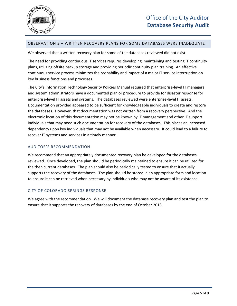

#### <span id="page-9-0"></span>OBSERVATION 3 – WRITTEN RECOVERY PLANS FOR SOME DATABASES WERE INADEQUATE

We observed that a written recovery plan for some of the databases reviewed did not exist.

The need for providing continuous IT services requires developing, maintaining and testing IT continuity plans, utilizing offsite backup storage and providing periodic continuity plan training. An effective continuous service process minimizes the probability and impact of a major IT service interruption on key business functions and processes.

The City's Information Technology Security Policies Manual required that enterprise-level IT managers and system administrators have a documented plan or procedure to provide for disaster response for enterprise-level IT assets and systems. The databases reviewed were enterprise-level IT assets. Documentation provided appeared to be sufficient for knowledgeable individuals to create and restore the databases. However, that documentation was not written from a recovery perspective. And the electronic location of this documentation may not be known by IT management and other IT support individuals that may need such documentation for recovery of the databases. This places an increased dependency upon key individuals that may not be available when necessary. It could lead to a failure to recover IT systems and services in a timely manner.

#### AUDITOR'S RECOMMENDATION

We recommend that an appropriately documented recovery plan be developed for the databases reviewed. Once developed, the plan should be periodically maintained to ensure it can be utilized for the then current databases. The plan should also be periodically tested to ensure that it actually supports the recovery of the databases. The plan should be stored in an appropriate form and location to ensure it can be retrieved when necessary by individuals who may not be aware of its existence.

#### CITY OF COLORADO SPRINGS RESPONSE

We agree with the recommendation. We will document the database recovery plan and test the plan to ensure that it supports the recovery of databases by the end of October 2013.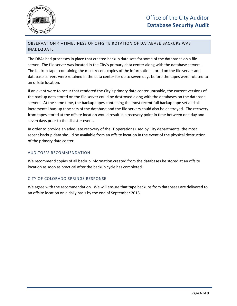

#### <span id="page-10-0"></span>OBSERVATION 4 –TIMELINESS OF OFFSITE ROTATION OF DATABASE BACKUPS WAS INADEQUATE

The DBAs had processes in place that created backup data sets for some of the databases on a file server. The file server was located in the City's primary data center along with the database servers. The backup tapes containing the most recent copies of the information stored on the file server and database servers were retained in the data center for up to seven days before the tapes were rotated to an offsite location.

If an event were to occur that rendered the City's primary data center unusable, the current versions of the backup data stored on the file server could be destroyed along with the databases on the database servers. At the same time, the backup tapes containing the most recent full backup tape set and all incremental backup tape sets of the database and the file servers could also be destroyed. The recovery from tapes stored at the offsite location would result in a recovery point in time between one day and seven days prior to the disaster event.

In order to provide an adequate recovery of the IT operations used by City departments, the most recent backup data should be available from an offsite location in the event of the physical destruction of the primary data center.

#### AUDITOR'S RECOMMENDATION

We recommend copies of all backup information created from the databases be stored at an offsite location as soon as practical after the backup cycle has completed.

#### CITY OF COLORADO SPRINGS RESPONSE

We agree with the recommendation. We will ensure that tape backups from databases are delivered to an offsite location on a daily basis by the end of September 2013.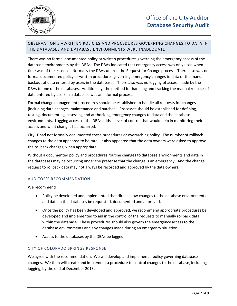

#### <span id="page-11-0"></span>OBSERVATION 5 –WRITTEN POLICIES AND PROCEDURES GOVERNING CHANGES TO DATA IN THE DATABASES AND DATABASE ENVIRONMENTS WERE INADEQUATE

There was no formal documented policy or written procedures governing the emergency access of the database environments by the DBAs. The DBAs indicated that emergency access was only used when time was of the essence. Normally the DBAs utilized the Request for Change process. There also was no formal documented policy or written procedures governing emergency changes to data or the manual backout of data entered by users in the databases. There also was no logging of access made by the DBAs to one of the databases. Additionally, the method for handling and tracking the manual rollback of data entered by users in a database was an informal process.

Formal change management procedures should be established to handle all requests for changes (including data changes, maintenance and patches.) Processes should be established for defining, testing, documenting, assessing and authorizing emergency changes to data and the database environments. Logging access of the DBAs adds a level of control that would help in monitoring their access and what changes had occurred.

City IT had not formally documented these procedures or overarching policy. The number of rollback changes to the data appeared to be rare. It also appeared that the data owners were asked to approve the rollback changes, when appropriate.

Without a documented policy and procedures routine changes to database environments and data in the databases may be occurring under the pretense that the change is an emergency. And the change request to rollback data may not always be recorded and approved by the data owners.

#### AUDITOR'S RECOMMENDATION

We recommend

- Policy be developed and implemented that directs how changes to the database environments and data in the databases be requested, documented and approved.
- Once the policy has been developed and approved, we recommend appropriate procedures be developed and implemented to aid in the control of the requests to manually rollback data within the database. These procedures should also govern the emergency access to the database environments and any changes made during an emergency situation.
- Access to the databases by the DBAs be logged.

#### CITY OF COLORADO SPRINGS RESPONSE

We agree with the recommendation. We will develop and implement a policy governing database changes. We then will create and implement a procedure to control changes to the database, including logging, by the end of December 2013.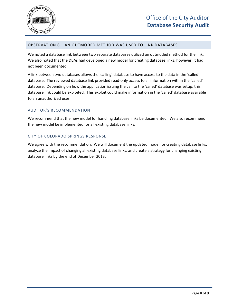

#### <span id="page-12-0"></span>OBSERVATION 6 – AN OUTMODED METHOD WAS USED TO LINK DATABASES

We noted a database link between two separate databases utilized an outmoded method for the link. We also noted that the DBAs had developed a new model for creating database links; however, it had not been documented.

A link between two databases allows the 'calling' database to have access to the data in the 'called' database. The reviewed database link provided read-only access to all information within the 'called' database. Depending on how the application issuing the call to the 'called' database was setup, this database link could be exploited. This exploit could make information in the 'called' database available to an unauthorized user.

#### AUDITOR'S RECOMMENDATION

We recommend that the new model for handling database links be documented. We also recommend the new model be implemented for all existing database links.

#### CITY OF COLORADO SPRINGS RESPONSE

We agree with the recommendation. We will document the updated model for creating database links, analyze the impact of changing all existing database links, and create a strategy for changing existing database links by the end of December 2013.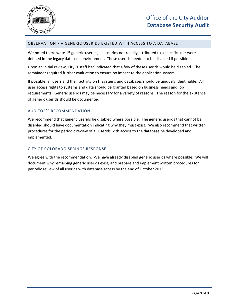

#### <span id="page-13-0"></span>OBSERVATION 7 – GENERIC USERIDS EXISTED WITH ACCESS TO A DATABASE

We noted there were 15 generic userids, i.e. userids not readily attributed to a specific user were defined in the legacy database environment. These userids needed to be disabled if possible.

Upon an initial review, City IT staff had indicated that a few of these userids would be disabled. The remainder required further evaluation to ensure no impact to the application system.

If possible, all users and their activity on IT systems and databases should be uniquely identifiable. All user access rights to systems and data should be granted based on business needs and job requirements. Generic userids may be necessary for a variety of reasons. The reason for the existence of generic userids should be documented.

#### AUDITOR'S RECOMMENDATION

We recommend that generic userids be disabled where possible. The generic userids that cannot be disabled should have documentation indicating why they must exist. We also recommend that written procedures for the periodic review of all userids with access to the database be developed and implemented.

#### CITY OF COLORADO SPRINGS RESPONSE

We agree with the recommendation. We have already disabled generic userids where possible. We will document why remaining generic userids exist, and prepare and implement written procedures for periodic review of all userids with database access by the end of October 2013.